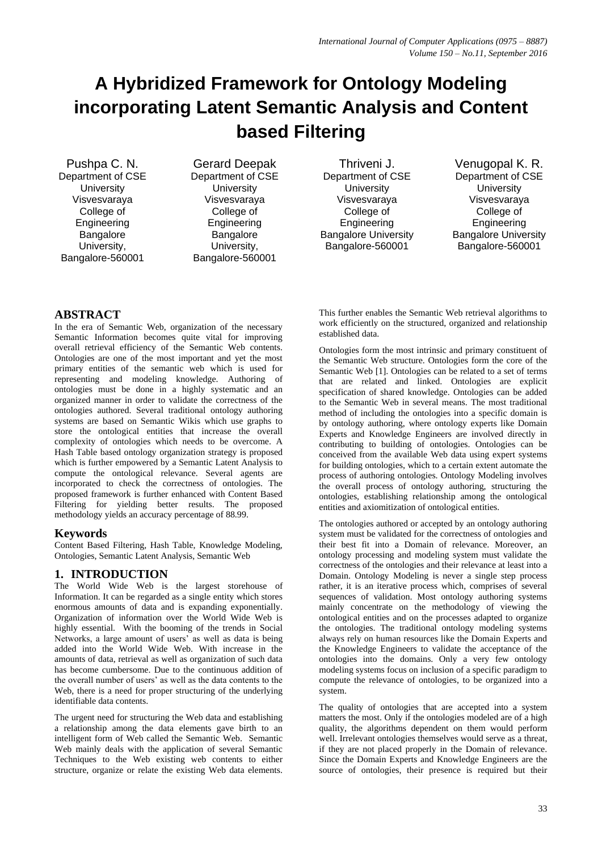# **A Hybridized Framework for Ontology Modeling incorporating Latent Semantic Analysis and Content based Filtering**

Pushpa C. N. Department of CSE University Visvesvaraya College of Engineering Bangalore University, Bangalore-560001

Gerard Deepak Department of CSE **University** Visvesvaraya College of Engineering Bangalore University, Bangalore-560001

Thriveni J. Department of CSE **University** Visvesvaraya College of Engineering Bangalore University Bangalore-560001

Venugopal K. R. Department of CSE **University** Visvesvaraya College of Engineering Bangalore University Bangalore-560001

## **ABSTRACT**

In the era of Semantic Web, organization of the necessary Semantic Information becomes quite vital for improving overall retrieval efficiency of the Semantic Web contents. Ontologies are one of the most important and yet the most primary entities of the semantic web which is used for representing and modeling knowledge. Authoring of ontologies must be done in a highly systematic and an organized manner in order to validate the correctness of the ontologies authored. Several traditional ontology authoring systems are based on Semantic Wikis which use graphs to store the ontological entities that increase the overall complexity of ontologies which needs to be overcome. A Hash Table based ontology organization strategy is proposed which is further empowered by a Semantic Latent Analysis to compute the ontological relevance. Several agents are incorporated to check the correctness of ontologies. The proposed framework is further enhanced with Content Based Filtering for yielding better results. The proposed methodology yields an accuracy percentage of 88.99.

#### **Keywords**

Content Based Filtering, Hash Table, Knowledge Modeling, Ontologies, Semantic Latent Analysis, Semantic Web

#### **1. INTRODUCTION**

The World Wide Web is the largest storehouse of Information. It can be regarded as a single entity which stores enormous amounts of data and is expanding exponentially. Organization of information over the World Wide Web is highly essential. With the booming of the trends in Social Networks, a large amount of users' as well as data is being added into the World Wide Web. With increase in the amounts of data, retrieval as well as organization of such data has become cumbersome. Due to the continuous addition of the overall number of users' as well as the data contents to the Web, there is a need for proper structuring of the underlying identifiable data contents.

The urgent need for structuring the Web data and establishing a relationship among the data elements gave birth to an intelligent form of Web called the Semantic Web. Semantic Web mainly deals with the application of several Semantic Techniques to the Web existing web contents to either structure, organize or relate the existing Web data elements. This further enables the Semantic Web retrieval algorithms to work efficiently on the structured, organized and relationship established data.

Ontologies form the most intrinsic and primary constituent of the Semantic Web structure. Ontologies form the core of the Semantic Web [1]. Ontologies can be related to a set of terms that are related and linked. Ontologies are explicit specification of shared knowledge. Ontologies can be added to the Semantic Web in several means. The most traditional method of including the ontologies into a specific domain is by ontology authoring, where ontology experts like Domain Experts and Knowledge Engineers are involved directly in contributing to building of ontologies. Ontologies can be conceived from the available Web data using expert systems for building ontologies, which to a certain extent automate the process of authoring ontologies. Ontology Modeling involves the overall process of ontology authoring, structuring the ontologies, establishing relationship among the ontological entities and axiomitization of ontological entities.

The ontologies authored or accepted by an ontology authoring system must be validated for the correctness of ontologies and their best fit into a Domain of relevance. Moreover, an ontology processing and modeling system must validate the correctness of the ontologies and their relevance at least into a Domain. Ontology Modeling is never a single step process rather, it is an iterative process which, comprises of several sequences of validation. Most ontology authoring systems mainly concentrate on the methodology of viewing the ontological entities and on the processes adapted to organize the ontologies. The traditional ontology modeling systems always rely on human resources like the Domain Experts and the Knowledge Engineers to validate the acceptance of the ontologies into the domains. Only a very few ontology modeling systems focus on inclusion of a specific paradigm to compute the relevance of ontologies, to be organized into a system.

The quality of ontologies that are accepted into a system matters the most. Only if the ontologies modeled are of a high quality, the algorithms dependent on them would perform well. Irrelevant ontologies themselves would serve as a threat, if they are not placed properly in the Domain of relevance. Since the Domain Experts and Knowledge Engineers are the source of ontologies, their presence is required but their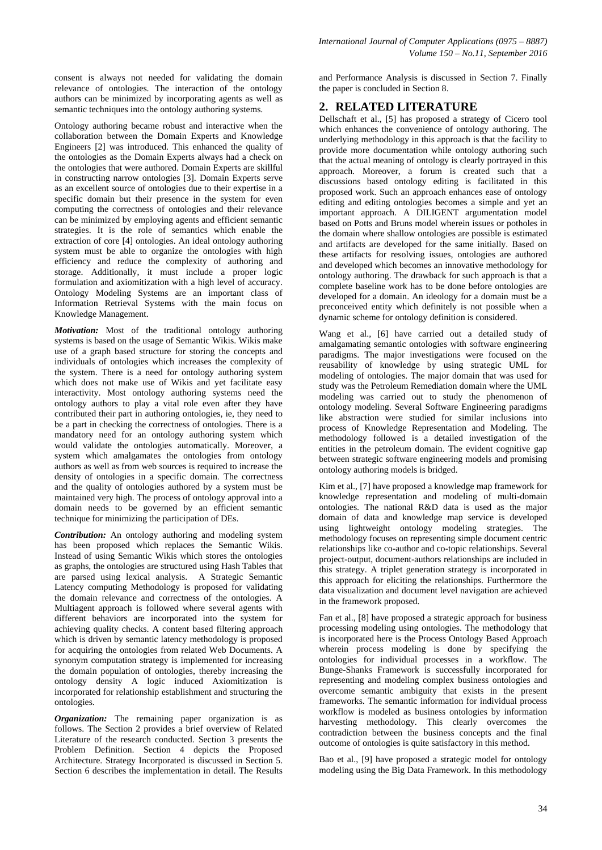Ontology authoring became robust and interactive when the collaboration between the Domain Experts and Knowledge Engineers [2] was introduced. This enhanced the quality of the ontologies as the Domain Experts always had a check on the ontologies that were authored. Domain Experts are skillful in constructing narrow ontologies [3]. Domain Experts serve as an excellent source of ontologies due to their expertise in a specific domain but their presence in the system for even computing the correctness of ontologies and their relevance can be minimized by employing agents and efficient semantic strategies. It is the role of semantics which enable the extraction of core [4] ontologies. An ideal ontology authoring system must be able to organize the ontologies with high efficiency and reduce the complexity of authoring and storage. Additionally, it must include a proper logic formulation and axiomitization with a high level of accuracy. Ontology Modeling Systems are an important class of Information Retrieval Systems with the main focus on Knowledge Management.

*Motivation:* Most of the traditional ontology authoring systems is based on the usage of Semantic Wikis. Wikis make use of a graph based structure for storing the concepts and individuals of ontologies which increases the complexity of the system. There is a need for ontology authoring system which does not make use of Wikis and yet facilitate easy interactivity. Most ontology authoring systems need the ontology authors to play a vital role even after they have contributed their part in authoring ontologies, ie, they need to be a part in checking the correctness of ontologies. There is a mandatory need for an ontology authoring system which would validate the ontologies automatically. Moreover, a system which amalgamates the ontologies from ontology authors as well as from web sources is required to increase the density of ontologies in a specific domain. The correctness and the quality of ontologies authored by a system must be maintained very high. The process of ontology approval into a domain needs to be governed by an efficient semantic technique for minimizing the participation of DEs.

*Contribution:* An ontology authoring and modeling system has been proposed which replaces the Semantic Wikis. Instead of using Semantic Wikis which stores the ontologies as graphs, the ontologies are structured using Hash Tables that are parsed using lexical analysis. A Strategic Semantic Latency computing Methodology is proposed for validating the domain relevance and correctness of the ontologies. A Multiagent approach is followed where several agents with different behaviors are incorporated into the system for achieving quality checks. A content based filtering approach which is driven by semantic latency methodology is proposed for acquiring the ontologies from related Web Documents. A synonym computation strategy is implemented for increasing the domain population of ontologies, thereby increasing the ontology density A logic induced Axiomitization is incorporated for relationship establishment and structuring the ontologies.

*Organization:* The remaining paper organization is as follows. The Section 2 provides a brief overview of Related Literature of the research conducted. Section 3 presents the Problem Definition. Section 4 depicts the Proposed Architecture. Strategy Incorporated is discussed in Section 5. Section 6 describes the implementation in detail. The Results

and Performance Analysis is discussed in Section 7. Finally the paper is concluded in Section 8.

## **2. RELATED LITERATURE**

Dellschaft et al., [5] has proposed a strategy of Cicero tool which enhances the convenience of ontology authoring. The underlying methodology in this approach is that the facility to provide more documentation while ontology authoring such that the actual meaning of ontology is clearly portrayed in this approach. Moreover, a forum is created such that a discussions based ontology editing is facilitated in this proposed work. Such an approach enhances ease of ontology editing and editing ontologies becomes a simple and yet an important approach. A DILIGENT argumentation model based on Potts and Bruns model wherein issues or potholes in the domain where shallow ontologies are possible is estimated and artifacts are developed for the same initially. Based on these artifacts for resolving issues, ontologies are authored and developed which becomes an innovative methodology for ontology authoring. The drawback for such approach is that a complete baseline work has to be done before ontologies are developed for a domain. An ideology for a domain must be a preconceived entity which definitely is not possible when a dynamic scheme for ontology definition is considered.

Wang et al., [6] have carried out a detailed study of amalgamating semantic ontologies with software engineering paradigms. The major investigations were focused on the reusability of knowledge by using strategic UML for modeling of ontologies. The major domain that was used for study was the Petroleum Remediation domain where the UML modeling was carried out to study the phenomenon of ontology modeling. Several Software Engineering paradigms like abstraction were studied for similar inclusions into process of Knowledge Representation and Modeling. The methodology followed is a detailed investigation of the entities in the petroleum domain. The evident cognitive gap between strategic software engineering models and promising ontology authoring models is bridged.

Kim et al., [7] have proposed a knowledge map framework for knowledge representation and modeling of multi-domain ontologies. The national R&D data is used as the major domain of data and knowledge map service is developed using lightweight ontology modeling strategies. The methodology focuses on representing simple document centric relationships like co-author and co-topic relationships. Several project-output, document-authors relationships are included in this strategy. A triplet generation strategy is incorporated in this approach for eliciting the relationships. Furthermore the data visualization and document level navigation are achieved in the framework proposed.

Fan et al., [8] have proposed a strategic approach for business processing modeling using ontologies. The methodology that is incorporated here is the Process Ontology Based Approach wherein process modeling is done by specifying the ontologies for individual processes in a workflow. The Bunge-Shanks Framework is successfully incorporated for representing and modeling complex business ontologies and overcome semantic ambiguity that exists in the present frameworks. The semantic information for individual process workflow is modeled as business ontologies by information harvesting methodology. This clearly overcomes the contradiction between the business concepts and the final outcome of ontologies is quite satisfactory in this method.

Bao et al., [9] have proposed a strategic model for ontology modeling using the Big Data Framework. In this methodology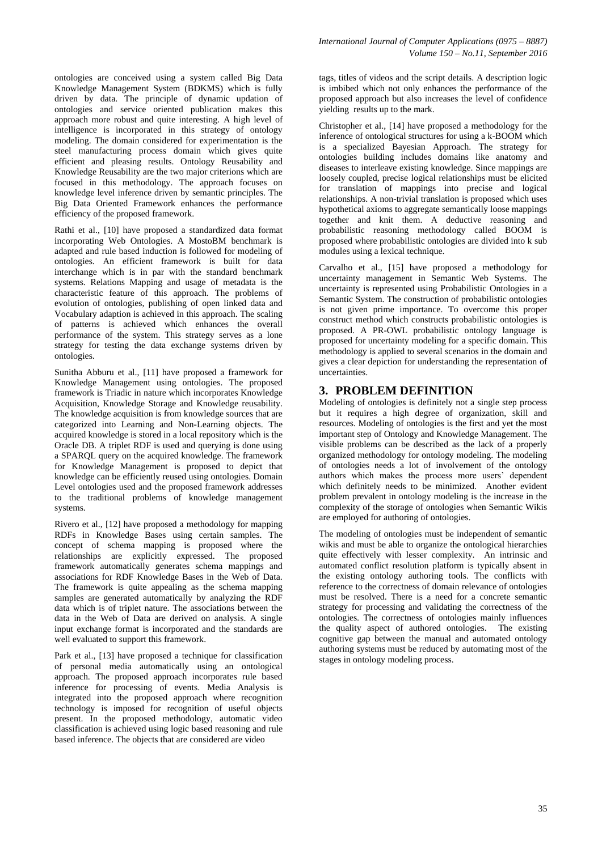ontologies are conceived using a system called Big Data Knowledge Management System (BDKMS) which is fully driven by data. The principle of dynamic updation of ontologies and service oriented publication makes this approach more robust and quite interesting. A high level of intelligence is incorporated in this strategy of ontology modeling. The domain considered for experimentation is the steel manufacturing process domain which gives quite efficient and pleasing results. Ontology Reusability and Knowledge Reusability are the two major criterions which are focused in this methodology. The approach focuses on knowledge level inference driven by semantic principles. The Big Data Oriented Framework enhances the performance efficiency of the proposed framework.

Rathi et al., [10] have proposed a standardized data format incorporating Web Ontologies. A MostoBM benchmark is adapted and rule based induction is followed for modeling of ontologies. An efficient framework is built for data interchange which is in par with the standard benchmark systems. Relations Mapping and usage of metadata is the characteristic feature of this approach. The problems of evolution of ontologies, publishing of open linked data and Vocabulary adaption is achieved in this approach. The scaling of patterns is achieved which enhances the overall performance of the system. This strategy serves as a lone strategy for testing the data exchange systems driven by ontologies.

Sunitha Abburu et al., [11] have proposed a framework for Knowledge Management using ontologies. The proposed framework is Triadic in nature which incorporates Knowledge Acquisition, Knowledge Storage and Knowledge reusability. The knowledge acquisition is from knowledge sources that are categorized into Learning and Non-Learning objects. The acquired knowledge is stored in a local repository which is the Oracle DB. A triplet RDF is used and querying is done using a SPARQL query on the acquired knowledge. The framework for Knowledge Management is proposed to depict that knowledge can be efficiently reused using ontologies. Domain Level ontologies used and the proposed framework addresses to the traditional problems of knowledge management systems.

Rivero et al., [12] have proposed a methodology for mapping RDFs in Knowledge Bases using certain samples. The concept of schema mapping is proposed where the relationships are explicitly expressed. The proposed framework automatically generates schema mappings and associations for RDF Knowledge Bases in the Web of Data. The framework is quite appealing as the schema mapping samples are generated automatically by analyzing the RDF data which is of triplet nature. The associations between the data in the Web of Data are derived on analysis. A single input exchange format is incorporated and the standards are well evaluated to support this framework.

Park et al., [13] have proposed a technique for classification of personal media automatically using an ontological approach. The proposed approach incorporates rule based inference for processing of events. Media Analysis is integrated into the proposed approach where recognition technology is imposed for recognition of useful objects present. In the proposed methodology, automatic video classification is achieved using logic based reasoning and rule based inference. The objects that are considered are video

tags, titles of videos and the script details. A description logic is imbibed which not only enhances the performance of the proposed approach but also increases the level of confidence yielding results up to the mark.

Christopher et al., [14] have proposed a methodology for the inference of ontological structures for using a k-BOOM which is a specialized Bayesian Approach. The strategy for ontologies building includes domains like anatomy and diseases to interleave existing knowledge. Since mappings are loosely coupled, precise logical relationships must be elicited for translation of mappings into precise and logical relationships. A non-trivial translation is proposed which uses hypothetical axioms to aggregate semantically loose mappings together and knit them. A deductive reasoning and probabilistic reasoning methodology called BOOM is proposed where probabilistic ontologies are divided into k sub modules using a lexical technique.

Carvalho et al., [15] have proposed a methodology for uncertainty management in Semantic Web Systems. The uncertainty is represented using Probabilistic Ontologies in a Semantic System. The construction of probabilistic ontologies is not given prime importance. To overcome this proper construct method which constructs probabilistic ontologies is proposed. A PR-OWL probabilistic ontology language is proposed for uncertainty modeling for a specific domain. This methodology is applied to several scenarios in the domain and gives a clear depiction for understanding the representation of uncertainties.

## **3. PROBLEM DEFINITION**

Modeling of ontologies is definitely not a single step process but it requires a high degree of organization, skill and resources. Modeling of ontologies is the first and yet the most important step of Ontology and Knowledge Management. The visible problems can be described as the lack of a properly organized methodology for ontology modeling. The modeling of ontologies needs a lot of involvement of the ontology authors which makes the process more users' dependent which definitely needs to be minimized. Another evident problem prevalent in ontology modeling is the increase in the complexity of the storage of ontologies when Semantic Wikis are employed for authoring of ontologies.

The modeling of ontologies must be independent of semantic wikis and must be able to organize the ontological hierarchies quite effectively with lesser complexity. An intrinsic and automated conflict resolution platform is typically absent in the existing ontology authoring tools. The conflicts with reference to the correctness of domain relevance of ontologies must be resolved. There is a need for a concrete semantic strategy for processing and validating the correctness of the ontologies. The correctness of ontologies mainly influences the quality aspect of authored ontologies. The existing cognitive gap between the manual and automated ontology authoring systems must be reduced by automating most of the stages in ontology modeling process.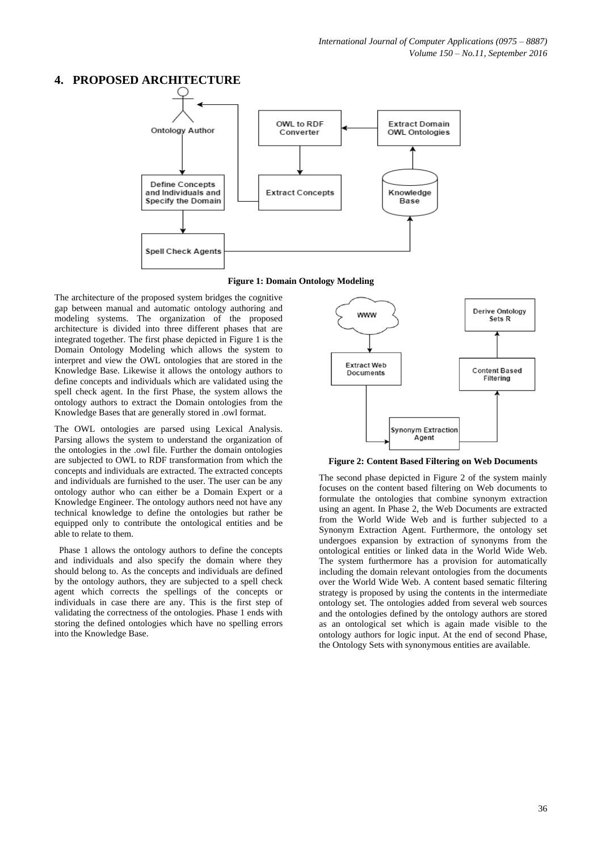## **4. PROPOSED ARCHITECTURE**



#### **Figure 1: Domain Ontology Modeling**

The architecture of the proposed system bridges the cognitive gap between manual and automatic ontology authoring and modeling systems. The organization of the proposed architecture is divided into three different phases that are integrated together. The first phase depicted in Figure 1 is the Domain Ontology Modeling which allows the system to interpret and view the OWL ontologies that are stored in the Knowledge Base. Likewise it allows the ontology authors to define concepts and individuals which are validated using the spell check agent. In the first Phase, the system allows the ontology authors to extract the Domain ontologies from the Knowledge Bases that are generally stored in .owl format.

The OWL ontologies are parsed using Lexical Analysis. Parsing allows the system to understand the organization of the ontologies in the .owl file. Further the domain ontologies are subjected to OWL to RDF transformation from which the concepts and individuals are extracted. The extracted concepts and individuals are furnished to the user. The user can be any ontology author who can either be a Domain Expert or a Knowledge Engineer. The ontology authors need not have any technical knowledge to define the ontologies but rather be equipped only to contribute the ontological entities and be able to relate to them.

 Phase 1 allows the ontology authors to define the concepts and individuals and also specify the domain where they should belong to. As the concepts and individuals are defined by the ontology authors, they are subjected to a spell check agent which corrects the spellings of the concepts or individuals in case there are any. This is the first step of validating the correctness of the ontologies. Phase 1 ends with storing the defined ontologies which have no spelling errors into the Knowledge Base.



**Figure 2: Content Based Filtering on Web Documents**

The second phase depicted in Figure 2 of the system mainly focuses on the content based filtering on Web documents to formulate the ontologies that combine synonym extraction using an agent. In Phase 2, the Web Documents are extracted from the World Wide Web and is further subjected to a Synonym Extraction Agent. Furthermore, the ontology set undergoes expansion by extraction of synonyms from the ontological entities or linked data in the World Wide Web. The system furthermore has a provision for automatically including the domain relevant ontologies from the documents over the World Wide Web. A content based sematic filtering strategy is proposed by using the contents in the intermediate ontology set. The ontologies added from several web sources and the ontologies defined by the ontology authors are stored as an ontological set which is again made visible to the ontology authors for logic input. At the end of second Phase, the Ontology Sets with synonymous entities are available.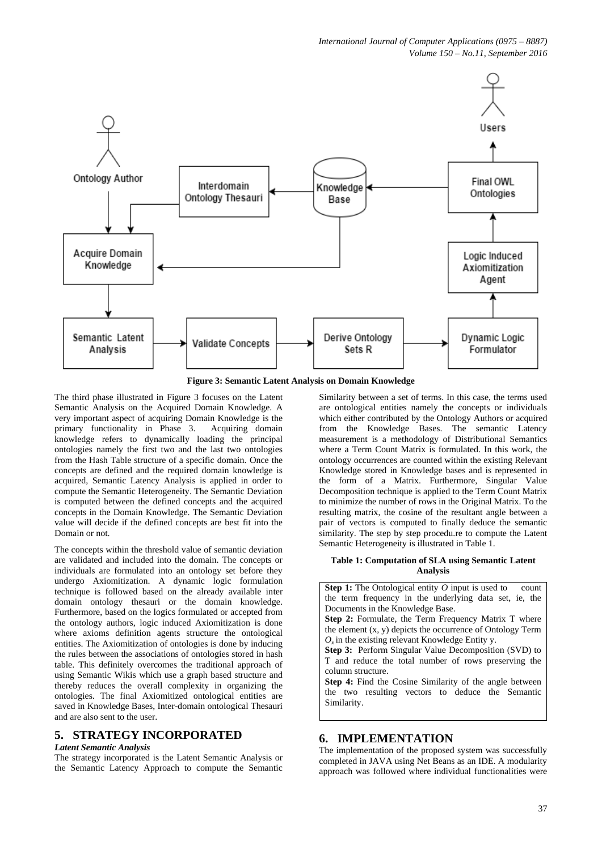

**Figure 3: Semantic Latent Analysis on Domain Knowledge**

The third phase illustrated in Figure 3 focuses on the Latent Semantic Analysis on the Acquired Domain Knowledge. A very important aspect of acquiring Domain Knowledge is the primary functionality in Phase 3. Acquiring domain knowledge refers to dynamically loading the principal ontologies namely the first two and the last two ontologies from the Hash Table structure of a specific domain. Once the concepts are defined and the required domain knowledge is acquired, Semantic Latency Analysis is applied in order to compute the Semantic Heterogeneity. The Semantic Deviation is computed between the defined concepts and the acquired concepts in the Domain Knowledge. The Semantic Deviation value will decide if the defined concepts are best fit into the Domain or not.

The concepts within the threshold value of semantic deviation are validated and included into the domain. The concepts or individuals are formulated into an ontology set before they undergo Axiomitization. A dynamic logic formulation technique is followed based on the already available inter domain ontology thesauri or the domain knowledge. Furthermore, based on the logics formulated or accepted from the ontology authors, logic induced Axiomitization is done where axioms definition agents structure the ontological entities. The Axiomitization of ontologies is done by inducing the rules between the associations of ontologies stored in hash table. This definitely overcomes the traditional approach of using Semantic Wikis which use a graph based structure and thereby reduces the overall complexity in organizing the ontologies. The final Axiomitized ontological entities are saved in Knowledge Bases, Inter-domain ontological Thesauri and are also sent to the user.

#### **5. STRATEGY INCORPORATED**

#### *Latent Semantic Analysis*

The strategy incorporated is the Latent Semantic Analysis or the Semantic Latency Approach to compute the Semantic Similarity between a set of terms. In this case, the terms used are ontological entities namely the concepts or individuals which either contributed by the Ontology Authors or acquired from the Knowledge Bases. The semantic Latency measurement is a methodology of Distributional Semantics where a Term Count Matrix is formulated. In this work, the ontology occurrences are counted within the existing Relevant Knowledge stored in Knowledge bases and is represented in the form of a Matrix. Furthermore, Singular Value Decomposition technique is applied to the Term Count Matrix to minimize the number of rows in the Original Matrix. To the resulting matrix, the cosine of the resultant angle between a pair of vectors is computed to finally deduce the semantic similarity. The step by step procedu.re to compute the Latent Semantic Heterogeneity is illustrated in Table 1.

#### **Table 1: Computation of SLA using Semantic Latent Analysis**

**Step 1:** The Ontological entity *O* input is used to count the term frequency in the underlying data set, ie, the Documents in the Knowledge Base. **Step 2:** Formulate, the Term Frequency Matrix T where the element (x, y) depicts the occurrence of Ontology Term  $O_x$  in the existing relevant Knowledge Entity y. **Step 3:** Perform Singular Value Decomposition (SVD) to T and reduce the total number of rows preserving the column structure. **Step 4:** Find the Cosine Similarity of the angle between the two resulting vectors to deduce the Semantic Similarity.

#### **6. IMPLEMENTATION**

The implementation of the proposed system was successfully completed in JAVA using Net Beans as an IDE. A modularity approach was followed where individual functionalities were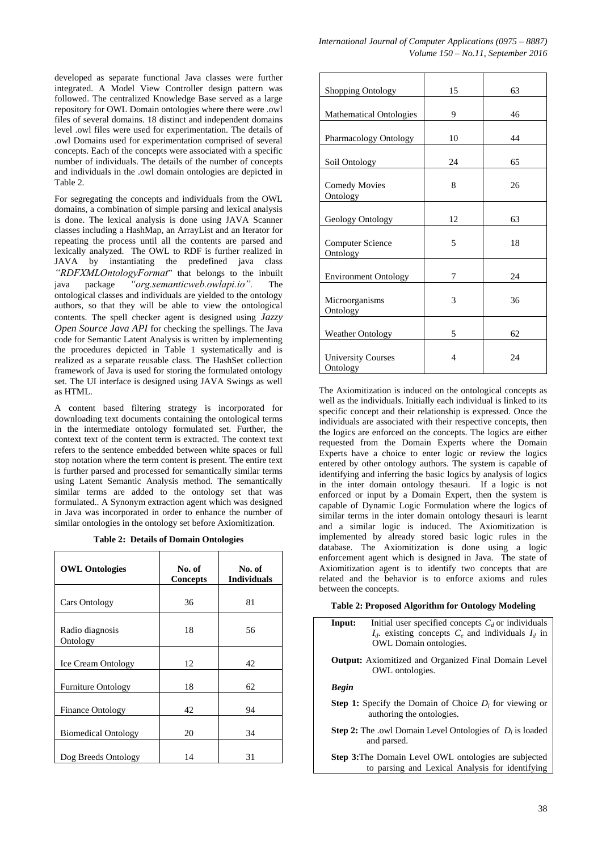developed as separate functional Java classes were further integrated. A Model View Controller design pattern was followed. The centralized Knowledge Base served as a large repository for OWL Domain ontologies where there were .owl files of several domains. 18 distinct and independent domains level .owl files were used for experimentation. The details of .owl Domains used for experimentation comprised of several concepts. Each of the concepts were associated with a specific number of individuals. The details of the number of concepts and individuals in the .owl domain ontologies are depicted in Table 2.

For segregating the concepts and individuals from the OWL domains, a combination of simple parsing and lexical analysis is done. The lexical analysis is done using JAVA Scanner classes including a HashMap, an ArrayList and an Iterator for repeating the process until all the contents are parsed and lexically analyzed. The OWL to RDF is further realized in JAVA by instantiating the predefined java class *"RDFXMLOntologyFormat*" that belongs to the inbuilt java package *"org.semanticweb.owlapi.io".* The ontological classes and individuals are yielded to the ontology authors, so that they will be able to view the ontological contents. The spell checker agent is designed using *Jazzy Open Source Java API* for checking the spellings. The Java code for Semantic Latent Analysis is written by implementing the procedures depicted in Table 1 systematically and is realized as a separate reusable class. The HashSet collection framework of Java is used for storing the formulated ontology set. The UI interface is designed using JAVA Swings as well as HTML.

A content based filtering strategy is incorporated for downloading text documents containing the ontological terms in the intermediate ontology formulated set. Further, the context text of the content term is extracted. The context text refers to the sentence embedded between white spaces or full stop notation where the term content is present. The entire text is further parsed and processed for semantically similar terms using Latent Semantic Analysis method. The semantically similar terms are added to the ontology set that was formulated.. A Synonym extraction agent which was designed in Java was incorporated in order to enhance the number of similar ontologies in the ontology set before Axiomitization.

**Table 2: Details of Domain Ontologies**

| <b>OWL Ontologies</b>       | No. of<br>Concepts | No. of<br><b>Individuals</b> |
|-----------------------------|--------------------|------------------------------|
| <b>Cars Ontology</b>        | 36                 | 81                           |
| Radio diagnosis<br>Ontology | 18                 | 56                           |
| <b>Ice Cream Ontology</b>   | 12                 | 42                           |
| <b>Furniture Ontology</b>   | 18                 | 62                           |
| <b>Finance Ontology</b>     | 42                 | 94                           |
| <b>Biomedical Ontology</b>  | 20                 | 34                           |
| Dog Breeds Ontology         | 14                 | 31                           |

| Shopping Ontology                     | 15 | 63 |
|---------------------------------------|----|----|
| <b>Mathematical Ontologies</b>        | 9  | 46 |
| Pharmacology Ontology                 | 10 | 44 |
| Soil Ontology                         | 24 | 65 |
| <b>Comedy Movies</b><br>Ontology      | 8  | 26 |
| Geology Ontology                      | 12 | 63 |
| <b>Computer Science</b><br>Ontology   | 5  | 18 |
| <b>Environment Ontology</b>           | 7  | 24 |
| Microorganisms<br>Ontology            | 3  | 36 |
| <b>Weather Ontology</b>               | 5  | 62 |
| <b>University Courses</b><br>Ontology | 4  | 24 |

The Axiomitization is induced on the ontological concepts as well as the individuals. Initially each individual is linked to its specific concept and their relationship is expressed. Once the individuals are associated with their respective concepts, then the logics are enforced on the concepts. The logics are either requested from the Domain Experts where the Domain Experts have a choice to enter logic or review the logics entered by other ontology authors. The system is capable of identifying and inferring the basic logics by analysis of logics in the inter domain ontology thesauri. If a logic is not enforced or input by a Domain Expert, then the system is capable of Dynamic Logic Formulation where the logics of similar terms in the inter domain ontology thesauri is learnt and a similar logic is induced. The Axiomitization is implemented by already stored basic logic rules in the database. The Axiomitization is done using a logic enforcement agent which is designed in Java. The state of Axiomitization agent is to identify two concepts that are related and the behavior is to enforce axioms and rules between the concepts.

|  |  | Table 2: Proposed Algorithm for Ontology Modeling |  |
|--|--|---------------------------------------------------|--|
|  |  |                                                   |  |

| Input:                                                                                        | Initial user specified concepts $C_d$ or individuals<br>$I_d$ existing concepts $C_e$ and individuals $I_d$ in<br><b>OWL</b> Domain ontologies. |  |  |
|-----------------------------------------------------------------------------------------------|-------------------------------------------------------------------------------------------------------------------------------------------------|--|--|
|                                                                                               | <b>Output:</b> Axiomitized and Organized Final Domain Level<br>OWL ontologies.                                                                  |  |  |
| Begin                                                                                         |                                                                                                                                                 |  |  |
| <b>Step 1:</b> Specify the Domain of Choice $D_i$ for viewing or<br>authoring the ontologies. |                                                                                                                                                 |  |  |
|                                                                                               | <b>Step 2:</b> The .owl Domain Level Ontologies of $D_i$ is loaded<br>and parsed.                                                               |  |  |

**Step 3:**The Domain Level OWL ontologies are subjected to parsing and Lexical Analysis for identifying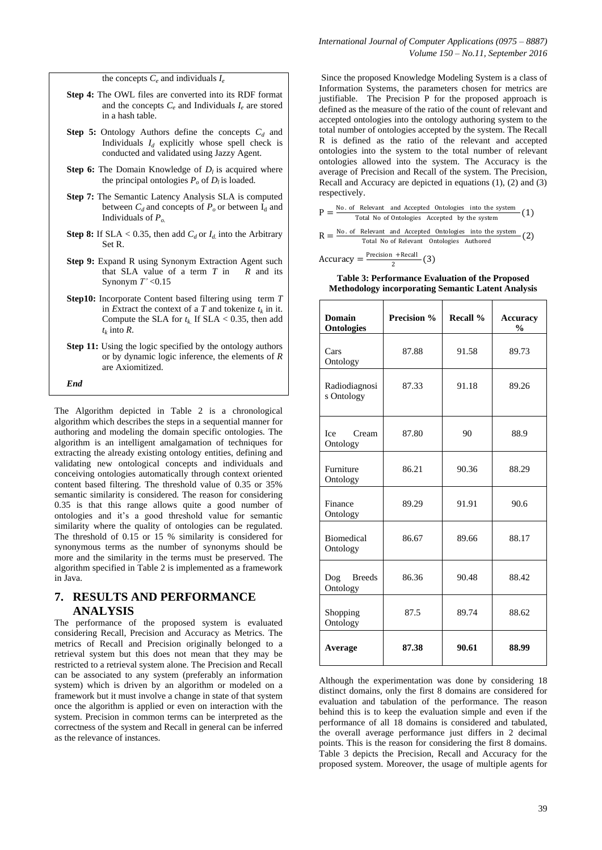the concepts  $C_e$  and individuals  $I_e$ 

- **Step 4:** The OWL files are converted into its RDF format and the concepts  $C_e$  and Individuals  $I_e$  are stored in a hash table.
- **Step 5:** Ontology Authors define the concepts *C<sup>d</sup>* and Individuals  $I_d$  explicitly whose spell check is conducted and validated using Jazzy Agent.
- **Step 6:** The Domain Knowledge of  $D_l$  is acquired where the principal ontologies  $P_o$  of  $D_l$  is loaded.
- **Step 7:** The Semantic Latency Analysis SLA is computed between  $C_d$  and concepts of  $P_o$  or between  $I_d$  and Individuals of *Po.*
- **Step 8:** If SLA < 0.35, then add  $C_d$  or  $I_d$  into the Arbitrary Set R.
- **Step 9:** Expand R using Synonym Extraction Agent such that SLA value of a term *T* in *R* and its Synonym *T'* <0.15
- **Step10:** Incorporate Content based filtering using term *T*  in *Extract* the context of a *T* and tokenize  $t_k$  in it. Compute the SLA for  $t_k$ . If SLA < 0.35, then add  $t_k$  into  $R$ .
- **Step 11:** Using the logic specified by the ontology authors or by dynamic logic inference, the elements of *R* are Axiomitized.

*End*

The Algorithm depicted in Table 2 is a chronological algorithm which describes the steps in a sequential manner for authoring and modeling the domain specific ontologies. The algorithm is an intelligent amalgamation of techniques for extracting the already existing ontology entities, defining and validating new ontological concepts and individuals and conceiving ontologies automatically through context oriented content based filtering. The threshold value of 0.35 or 35% semantic similarity is considered. The reason for considering 0.35 is that this range allows quite a good number of ontologies and it's a good threshold value for semantic similarity where the quality of ontologies can be regulated. The threshold of 0.15 or 15 % similarity is considered for synonymous terms as the number of synonyms should be more and the similarity in the terms must be preserved. The algorithm specified in Table 2 is implemented as a framework in Java.

## **7. RESULTS AND PERFORMANCE ANALYSIS**

The performance of the proposed system is evaluated considering Recall, Precision and Accuracy as Metrics. The metrics of Recall and Precision originally belonged to a retrieval system but this does not mean that they may be restricted to a retrieval system alone. The Precision and Recall can be associated to any system (preferably an information system) which is driven by an algorithm or modeled on a framework but it must involve a change in state of that system once the algorithm is applied or even on interaction with the system. Precision in common terms can be interpreted as the correctness of the system and Recall in general can be inferred as the relevance of instances.

Since the proposed Knowledge Modeling System is a class of Information Systems, the parameters chosen for metrics are justifiable. The Precision P for the proposed approach is defined as the measure of the ratio of the count of relevant and accepted ontologies into the ontology authoring system to the total number of ontologies accepted by the system. The Recall R is defined as the ratio of the relevant and accepted ontologies into the system to the total number of relevant ontologies allowed into the system. The Accuracy is the average of Precision and Recall of the system. The Precision, Recall and Accuracy are depicted in equations (1), (2) and (3) respectively.

- $P = \frac{No. of Relevant and Accepted Ontologies into the system}{Total Neaf Ontologies. As a set of but the system} (1)$ Total No of Ontologies Accepted by the system
- $R = \frac{No. \text{ of} \text{ Relevant} \text{ and} \text{Accepted} \text{ Ontologies} \text{ into the system}}{Total No of Relevant \text{ Ontologies} \text{ Authored}}$  (2)

 $Accuracy = \frac{Precision + Recall}{2}$  $\frac{1 + \text{Necan}}{2}$  (3)

**Table 3: Performance Evaluation of the Proposed Methodology incorporating Semantic Latent Analysis**

| <b>Domain</b><br><b>Ontologies</b> | Precision % | Recall % | <b>Accuracy</b><br>$\frac{0}{0}$ |
|------------------------------------|-------------|----------|----------------------------------|
| Cars<br>Ontology                   | 87.88       | 91.58    | 89.73                            |
| Radiodiagnosi<br>s Ontology        | 87.33       | 91.18    | 89.26                            |
| <b>Ice</b><br>Cream<br>Ontology    | 87.80       | 90       | 88.9                             |
| Furniture<br>Ontology              | 86.21       | 90.36    | 88.29                            |
| Finance<br>Ontology                | 89.29       | 91.91    | 90.6                             |
| <b>Biomedical</b><br>Ontology      | 86.67       | 89.66    | 88.17                            |
| <b>Breeds</b><br>Dog<br>Ontology   | 86.36       | 90.48    | 88.42                            |
| Shopping<br>Ontology               | 87.5        | 89.74    | 88.62                            |
| Average                            | 87.38       | 90.61    | 88.99                            |

Although the experimentation was done by considering 18 distinct domains, only the first 8 domains are considered for evaluation and tabulation of the performance. The reason behind this is to keep the evaluation simple and even if the performance of all 18 domains is considered and tabulated, the overall average performance just differs in 2 decimal points. This is the reason for considering the first 8 domains. Table 3 depicts the Precision, Recall and Accuracy for the proposed system. Moreover, the usage of multiple agents for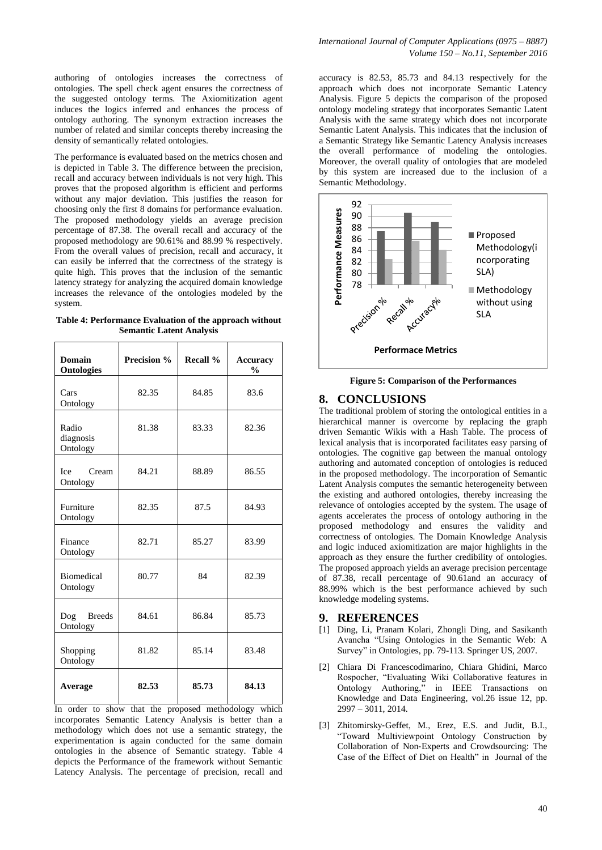authoring of ontologies increases the correctness of ontologies. The spell check agent ensures the correctness of the suggested ontology terms. The Axiomitization agent induces the logics inferred and enhances the process of ontology authoring. The synonym extraction increases the number of related and similar concepts thereby increasing the density of semantically related ontologies.

The performance is evaluated based on the metrics chosen and is depicted in Table 3. The difference between the precision, recall and accuracy between individuals is not very high. This proves that the proposed algorithm is efficient and performs without any major deviation. This justifies the reason for choosing only the first 8 domains for performance evaluation. The proposed methodology yields an average precision percentage of 87.38. The overall recall and accuracy of the proposed methodology are 90.61% and 88.99 % respectively. From the overall values of precision, recall and accuracy, it can easily be inferred that the correctness of the strategy is quite high. This proves that the inclusion of the semantic latency strategy for analyzing the acquired domain knowledge increases the relevance of the ontologies modeled by the system.

**Table 4: Performance Evaluation of the approach without Semantic Latent Analysis**

| <b>Domain</b><br><b>Ontologies</b> | <b>Precision %</b> | Recall % | <b>Accuracy</b><br>$\frac{0}{0}$ |
|------------------------------------|--------------------|----------|----------------------------------|
| Cars<br>Ontology                   | 82.35              | 84.85    | 83.6                             |
| Radio<br>diagnosis<br>Ontology     | 81.38              | 83.33    | 82.36                            |
| <b>Ice</b><br>Cream<br>Ontology    | 84.21              | 88.89    | 86.55                            |
| Furniture<br>Ontology              | 82.35              | 87.5     | 84.93                            |
| Finance<br>Ontology                | 82.71              | 85.27    | 83.99                            |
| <b>Biomedical</b><br>Ontology      | 80.77              | 84       | 82.39                            |
| <b>Breeds</b><br>Dog<br>Ontology   | 84.61              | 86.84    | 85.73                            |
| Shopping<br>Ontology               | 81.82              | 85.14    | 83.48                            |
| Average                            | 82.53              | 85.73    | 84.13                            |

In order to show that the proposed methodology which incorporates Semantic Latency Analysis is better than a methodology which does not use a semantic strategy, the experimentation is again conducted for the same domain ontologies in the absence of Semantic strategy. Table 4 depicts the Performance of the framework without Semantic Latency Analysis. The percentage of precision, recall and

accuracy is 82.53, 85.73 and 84.13 respectively for the approach which does not incorporate Semantic Latency Analysis. Figure 5 depicts the comparison of the proposed ontology modeling strategy that incorporates Semantic Latent Analysis with the same strategy which does not incorporate Semantic Latent Analysis. This indicates that the inclusion of a Semantic Strategy like Semantic Latency Analysis increases the overall performance of modeling the ontologies. Moreover, the overall quality of ontologies that are modeled by this system are increased due to the inclusion of a Semantic Methodology.



**Figure 5: Comparison of the Performances**

#### **8. CONCLUSIONS**

The traditional problem of storing the ontological entities in a hierarchical manner is overcome by replacing the graph driven Semantic Wikis with a Hash Table. The process of lexical analysis that is incorporated facilitates easy parsing of ontologies. The cognitive gap between the manual ontology authoring and automated conception of ontologies is reduced in the proposed methodology. The incorporation of Semantic Latent Analysis computes the semantic heterogeneity between the existing and authored ontologies, thereby increasing the relevance of ontologies accepted by the system. The usage of agents accelerates the process of ontology authoring in the proposed methodology and ensures the validity and correctness of ontologies. The Domain Knowledge Analysis and logic induced axiomitization are major highlights in the approach as they ensure the further credibility of ontologies. The proposed approach yields an average precision percentage of 87.38, recall percentage of 90.61and an accuracy of 88.99% which is the best performance achieved by such knowledge modeling systems.

#### **9. REFERENCES**

- [1] Ding, Li, Pranam Kolari, Zhongli Ding, and Sasikanth Avancha "Using Ontologies in the Semantic Web: A Survey" in Ontologies, pp. 79-113. Springer US, 2007.
- [2] Chiara Di Francescodimarino, Chiara Ghidini, Marco Rospocher, "Evaluating Wiki Collaborative features in Ontology Authoring," in IEEE Transactions on Knowledge and Data Engineering, vol.26 issue 12, pp. 2997 – 3011, 2014.
- [3] Zhitomirsky-Geffet, M., Erez, E.S. and Judit, B.I., "Toward Multiviewpoint Ontology Construction by Collaboration of Non‐Experts and Crowdsourcing: The Case of the Effect of Diet on Health" in Journal of the